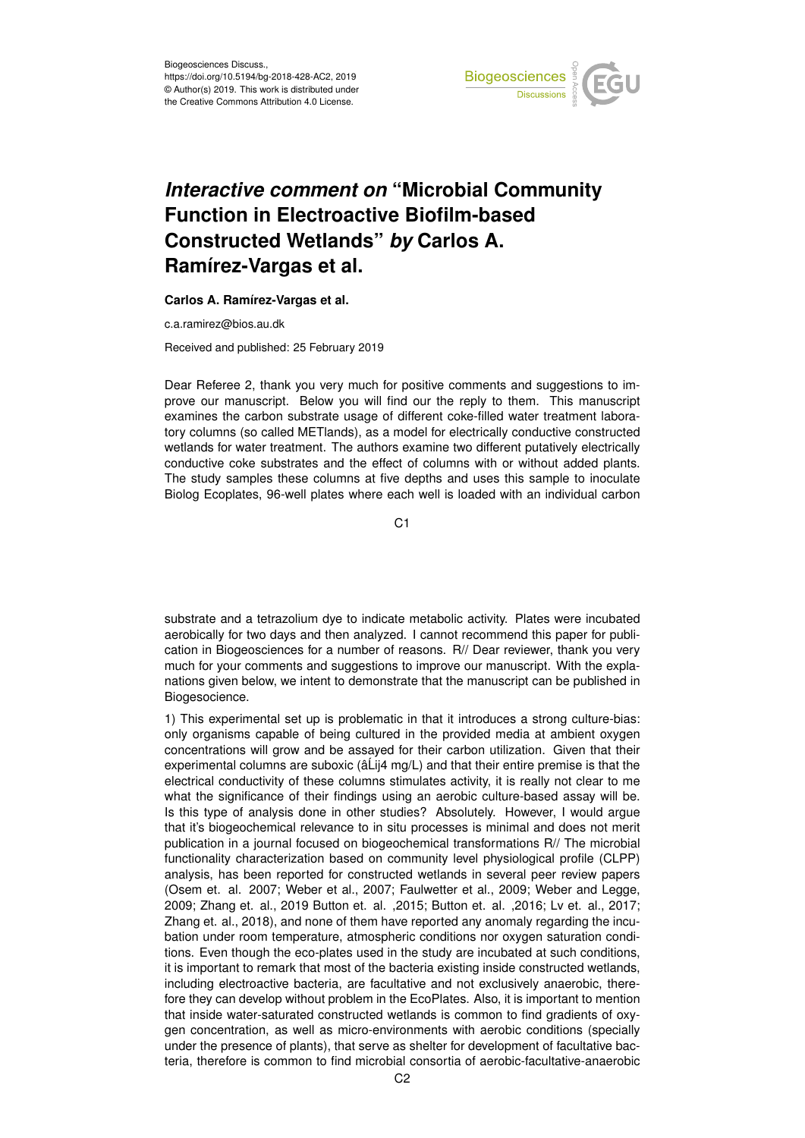

## *Interactive comment on* **"Microbial Community Function in Electroactive Biofilm-based Constructed Wetlands"** *by* **Carlos A. Ramírez-Vargas et al.**

## **Carlos A. Ramírez-Vargas et al.**

c.a.ramirez@bios.au.dk

Received and published: 25 February 2019

Dear Referee 2, thank you very much for positive comments and suggestions to improve our manuscript. Below you will find our the reply to them. This manuscript examines the carbon substrate usage of different coke-filled water treatment laboratory columns (so called METlands), as a model for electrically conductive constructed wetlands for water treatment. The authors examine two different putatively electrically conductive coke substrates and the effect of columns with or without added plants. The study samples these columns at five depths and uses this sample to inoculate Biolog Ecoplates, 96-well plates where each well is loaded with an individual carbon

C<sub>1</sub>

substrate and a tetrazolium dye to indicate metabolic activity. Plates were incubated aerobically for two days and then analyzed. I cannot recommend this paper for publication in Biogeosciences for a number of reasons. R// Dear reviewer, thank you very much for your comments and suggestions to improve our manuscript. With the explanations given below, we intent to demonstrate that the manuscript can be published in Biogesocience.

1) This experimental set up is problematic in that it introduces a strong culture-bias: only organisms capable of being cultured in the provided media at ambient oxygen concentrations will grow and be assayed for their carbon utilization. Given that their experimental columns are suboxic ( $\hat{a}$ Lij4 mg/L) and that their entire premise is that the electrical conductivity of these columns stimulates activity, it is really not clear to me what the significance of their findings using an aerobic culture-based assay will be. Is this type of analysis done in other studies? Absolutely. However, I would argue that it's biogeochemical relevance to in situ processes is minimal and does not merit publication in a journal focused on biogeochemical transformations R// The microbial functionality characterization based on community level physiological profile (CLPP) analysis, has been reported for constructed wetlands in several peer review papers (Osem et. al. 2007; Weber et al., 2007; Faulwetter et al., 2009; Weber and Legge, 2009; Zhang et. al., 2019 Button et. al. ,2015; Button et. al. ,2016; Lv et. al., 2017; Zhang et. al., 2018), and none of them have reported any anomaly regarding the incubation under room temperature, atmospheric conditions nor oxygen saturation conditions. Even though the eco-plates used in the study are incubated at such conditions, it is important to remark that most of the bacteria existing inside constructed wetlands, including electroactive bacteria, are facultative and not exclusively anaerobic, therefore they can develop without problem in the EcoPlates. Also, it is important to mention that inside water-saturated constructed wetlands is common to find gradients of oxygen concentration, as well as micro-environments with aerobic conditions (specially under the presence of plants), that serve as shelter for development of facultative bacteria, therefore is common to find microbial consortia of aerobic-facultative-anaerobic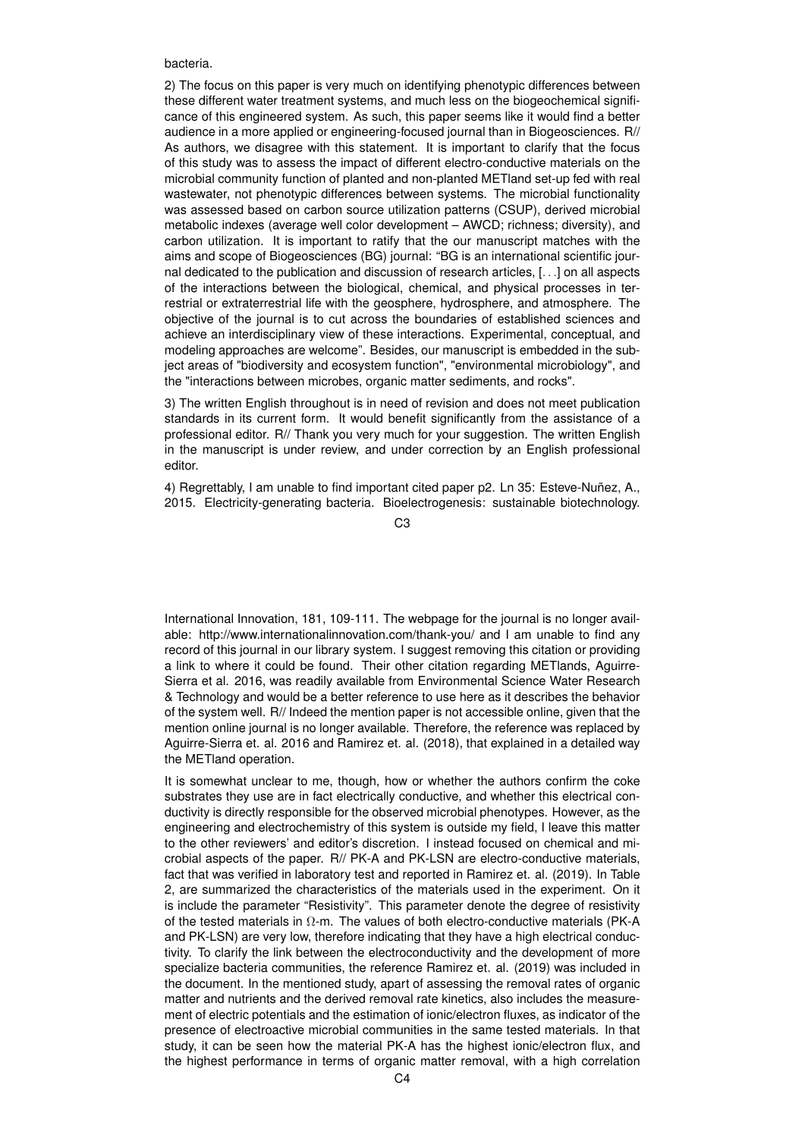bacteria.

2) The focus on this paper is very much on identifying phenotypic differences between these different water treatment systems, and much less on the biogeochemical significance of this engineered system. As such, this paper seems like it would find a better audience in a more applied or engineering-focused journal than in Biogeosciences. R// As authors, we disagree with this statement. It is important to clarify that the focus of this study was to assess the impact of different electro-conductive materials on the microbial community function of planted and non-planted METland set-up fed with real wastewater, not phenotypic differences between systems. The microbial functionality was assessed based on carbon source utilization patterns (CSUP), derived microbial metabolic indexes (average well color development – AWCD; richness; diversity), and carbon utilization. It is important to ratify that the our manuscript matches with the aims and scope of Biogeosciences (BG) journal: "BG is an international scientific journal dedicated to the publication and discussion of research articles, [. . .] on all aspects of the interactions between the biological, chemical, and physical processes in terrestrial or extraterrestrial life with the geosphere, hydrosphere, and atmosphere. The objective of the journal is to cut across the boundaries of established sciences and achieve an interdisciplinary view of these interactions. Experimental, conceptual, and modeling approaches are welcome". Besides, our manuscript is embedded in the subject areas of "biodiversity and ecosystem function", "environmental microbiology", and the "interactions between microbes, organic matter sediments, and rocks".

3) The written English throughout is in need of revision and does not meet publication standards in its current form. It would benefit significantly from the assistance of a professional editor. R// Thank you very much for your suggestion. The written English in the manuscript is under review, and under correction by an English professional editor.

4) Regrettably, I am unable to find important cited paper p2. Ln 35: Esteve-Nuñez, A., 2015. Electricity-generating bacteria. Bioelectrogenesis: sustainable biotechnology.

 $C<sub>3</sub>$ 

International Innovation, 181, 109-111. The webpage for the journal is no longer available: http://www.internationalinnovation.com/thank-you/ and I am unable to find any record of this journal in our library system. I suggest removing this citation or providing a link to where it could be found. Their other citation regarding METlands, Aguirre-Sierra et al. 2016, was readily available from Environmental Science Water Research & Technology and would be a better reference to use here as it describes the behavior of the system well. R// Indeed the mention paper is not accessible online, given that the mention online journal is no longer available. Therefore, the reference was replaced by Aguirre-Sierra et. al. 2016 and Ramirez et. al. (2018), that explained in a detailed way the METland operation.

It is somewhat unclear to me, though, how or whether the authors confirm the coke substrates they use are in fact electrically conductive, and whether this electrical conductivity is directly responsible for the observed microbial phenotypes. However, as the engineering and electrochemistry of this system is outside my field, I leave this matter to the other reviewers' and editor's discretion. I instead focused on chemical and microbial aspects of the paper. R// PK-A and PK-LSN are electro-conductive materials, fact that was verified in laboratory test and reported in Ramirez et. al. (2019). In Table 2, are summarized the characteristics of the materials used in the experiment. On it is include the parameter "Resistivity". This parameter denote the degree of resistivity of the tested materials in  $\Omega$ -m. The values of both electro-conductive materials (PK-A and PK-LSN) are very low, therefore indicating that they have a high electrical conductivity. To clarify the link between the electroconductivity and the development of more specialize bacteria communities, the reference Ramirez et. al. (2019) was included in the document. In the mentioned study, apart of assessing the removal rates of organic matter and nutrients and the derived removal rate kinetics, also includes the measurement of electric potentials and the estimation of ionic/electron fluxes, as indicator of the presence of electroactive microbial communities in the same tested materials. In that study, it can be seen how the material PK-A has the highest ionic/electron flux, and the highest performance in terms of organic matter removal, with a high correlation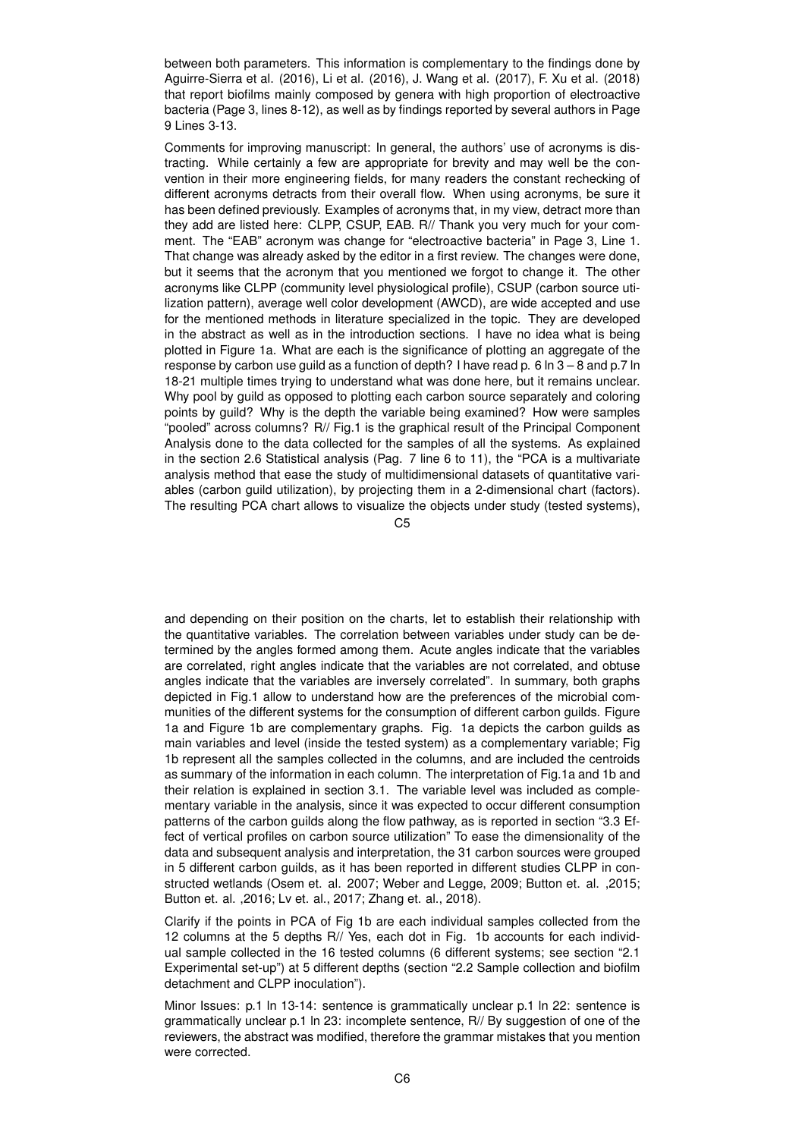between both parameters. This information is complementary to the findings done by Aguirre-Sierra et al. (2016), Li et al. (2016), J. Wang et al. (2017), F. Xu et al. (2018) that report biofilms mainly composed by genera with high proportion of electroactive bacteria (Page 3, lines 8-12), as well as by findings reported by several authors in Page 9 Lines 3-13.

Comments for improving manuscript: In general, the authors' use of acronyms is distracting. While certainly a few are appropriate for brevity and may well be the convention in their more engineering fields, for many readers the constant rechecking of different acronyms detracts from their overall flow. When using acronyms, be sure it has been defined previously. Examples of acronyms that, in my view, detract more than they add are listed here: CLPP, CSUP, EAB. R// Thank you very much for your comment. The "EAB" acronym was change for "electroactive bacteria" in Page 3, Line 1. That change was already asked by the editor in a first review. The changes were done, but it seems that the acronym that you mentioned we forgot to change it. The other acronyms like CLPP (community level physiological profile), CSUP (carbon source utilization pattern), average well color development (AWCD), are wide accepted and use for the mentioned methods in literature specialized in the topic. They are developed in the abstract as well as in the introduction sections. I have no idea what is being plotted in Figure 1a. What are each is the significance of plotting an aggregate of the response by carbon use guild as a function of depth? I have read p. 6 ln 3 – 8 and p.7 ln 18-21 multiple times trying to understand what was done here, but it remains unclear. Why pool by guild as opposed to plotting each carbon source separately and coloring points by guild? Why is the depth the variable being examined? How were samples "pooled" across columns? R// Fig.1 is the graphical result of the Principal Component Analysis done to the data collected for the samples of all the systems. As explained in the section 2.6 Statistical analysis (Pag. 7 line 6 to 11), the "PCA is a multivariate analysis method that ease the study of multidimensional datasets of quantitative variables (carbon guild utilization), by projecting them in a 2-dimensional chart (factors). The resulting PCA chart allows to visualize the objects under study (tested systems),

 $C<sub>5</sub>$ 

and depending on their position on the charts, let to establish their relationship with the quantitative variables. The correlation between variables under study can be determined by the angles formed among them. Acute angles indicate that the variables are correlated, right angles indicate that the variables are not correlated, and obtuse angles indicate that the variables are inversely correlated". In summary, both graphs depicted in Fig.1 allow to understand how are the preferences of the microbial communities of the different systems for the consumption of different carbon guilds. Figure 1a and Figure 1b are complementary graphs. Fig. 1a depicts the carbon guilds as main variables and level (inside the tested system) as a complementary variable; Fig 1b represent all the samples collected in the columns, and are included the centroids as summary of the information in each column. The interpretation of Fig.1a and 1b and their relation is explained in section 3.1. The variable level was included as complementary variable in the analysis, since it was expected to occur different consumption patterns of the carbon guilds along the flow pathway, as is reported in section "3.3 Effect of vertical profiles on carbon source utilization" To ease the dimensionality of the data and subsequent analysis and interpretation, the 31 carbon sources were grouped in 5 different carbon guilds, as it has been reported in different studies CLPP in constructed wetlands (Osem et. al. 2007; Weber and Legge, 2009; Button et. al. ,2015; Button et. al. ,2016; Lv et. al., 2017; Zhang et. al., 2018).

Clarify if the points in PCA of Fig 1b are each individual samples collected from the 12 columns at the 5 depths R// Yes, each dot in Fig. 1b accounts for each individual sample collected in the 16 tested columns (6 different systems; see section "2.1 Experimental set-up") at 5 different depths (section "2.2 Sample collection and biofilm detachment and CLPP inoculation").

Minor Issues: p.1 ln 13-14: sentence is grammatically unclear p.1 ln 22: sentence is grammatically unclear p.1 ln 23: incomplete sentence, R// By suggestion of one of the reviewers, the abstract was modified, therefore the grammar mistakes that you mention were corrected.